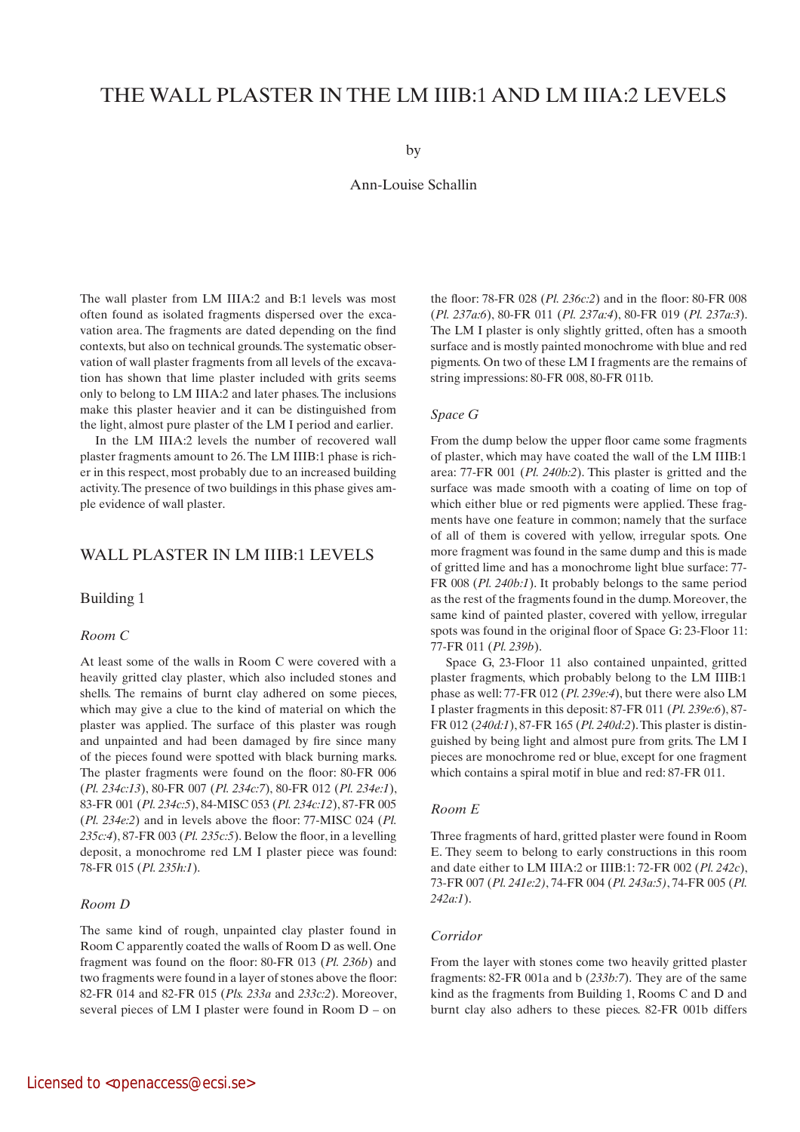# THE WALL PLASTER IN THE LM IIIB:1 AND LM IIIA:2 LEVELS

by

Ann-Louise Schallin

The wall plaster from LM IIIA:2 and B:1 levels was most often found as isolated fragments dispersed over the excavation area. The fragments are dated depending on the find contexts, but also on technical grounds. The systematic observation of wall plaster fragments from all levels of the excavation has shown that lime plaster included with grits seems only to belong to LM IIIA:2 and later phases. The inclusions make this plaster heavier and it can be distinguished from the light, almost pure plaster of the LM I period and earlier.

In the LM IIIA:2 levels the number of recovered wall plaster fragments amount to 26. The LM IIIB:1 phase is richer in this respect, most probably due to an increased building activity. The presence of two buildings in this phase gives ample evidence of wall plaster.

# Wall plaster in LM IIIB:1 levels

#### Building 1

#### *Room C*

At least some of the walls in Room C were covered with a heavily gritted clay plaster, which also included stones and shells. The remains of burnt clay adhered on some pieces, which may give a clue to the kind of material on which the plaster was applied. The surface of this plaster was rough and unpainted and had been damaged by fire since many of the pieces found were spotted with black burning marks. The plaster fragments were found on the floor: 80-FR 006 (*Pl. 234c:13*), 80-FR 007 (*Pl. 234c:7*), 80-FR 012 (*Pl. 234e:1*), 83-FR 001 (*Pl. 234c:5*), 84-MISC 053 (*Pl. 234c:12*), 87-FR 005 (*Pl. 234e:2*) and in levels above the floor: 77-MISC 024 (*Pl. 235c:4*), 87-FR 003 (*Pl. 235c:5*). Below the floor, in a levelling deposit, a monochrome red LM I plaster piece was found: 78-FR 015 (*Pl. 235h:1*).

#### *Room D*

The same kind of rough, unpainted clay plaster found in Room C apparently coated the walls of Room D as well. One fragment was found on the floor: 80-FR 013 (*Pl. 236b*) and two fragments were found in a layer of stones above the floor: 82-FR 014 and 82-FR 015 (*Pls. 233a* and *233c:2*). Moreover, several pieces of LM I plaster were found in Room D – on

the floor: 78-FR 028 (*Pl. 236c:2*) and in the floor: 80-FR 008 (*Pl. 237a:6*), 80-FR 011 (*Pl. 237a:4*), 80-FR 019 (*Pl. 237a:3*). The LM I plaster is only slightly gritted, often has a smooth surface and is mostly painted monochrome with blue and red pigments. On two of these LM I fragments are the remains of string impressions: 80-FR 008, 80-FR 011b.

#### *Space G*

From the dump below the upper floor came some fragments of plaster, which may have coated the wall of the LM IIIB:1 area: 77-FR 001 (*Pl. 240b:2*). This plaster is gritted and the surface was made smooth with a coating of lime on top of which either blue or red pigments were applied. These fragments have one feature in common; namely that the surface of all of them is covered with yellow, irregular spots. One more fragment was found in the same dump and this is made of gritted lime and has a monochrome light blue surface: 77- FR 008 (*Pl. 240b:1*). It probably belongs to the same period as the rest of the fragments found in the dump. Moreover, the same kind of painted plaster, covered with yellow, irregular spots was found in the original floor of Space G: 23-Floor 11: 77-FR 011 (*Pl. 239b*).

Space G, 23-Floor 11 also contained unpainted, gritted plaster fragments, which probably belong to the LM IIIB:1 phase as well: 77-FR 012 (*Pl. 239e:4*), but there were also LM I plaster fragments in this deposit: 87-FR 011 (*Pl. 239e:6*), 87- FR 012 (*240d:1*), 87-FR 165 (*Pl. 240d:2*). This plaster is distinguished by being light and almost pure from grits. The LM I pieces are monochrome red or blue, except for one fragment which contains a spiral motif in blue and red: 87-FR 011.

#### *Room E*

Three fragments of hard, gritted plaster were found in Room E. They seem to belong to early constructions in this room and date either to LM IIIA:2 or IIIB:1: 72-FR 002 (*Pl. 242c*), 73-FR 007 (*Pl. 241e:2)*, 74-FR 004 (*Pl. 243a:5)*, 74-FR 005 (*Pl. 242a:1*).

#### *Corridor*

From the layer with stones come two heavily gritted plaster fragments: 82-FR 001a and b (*233b:7*). They are of the same kind as the fragments from Building 1, Rooms C and D and burnt clay also adhers to these pieces. 82-FR 001b differs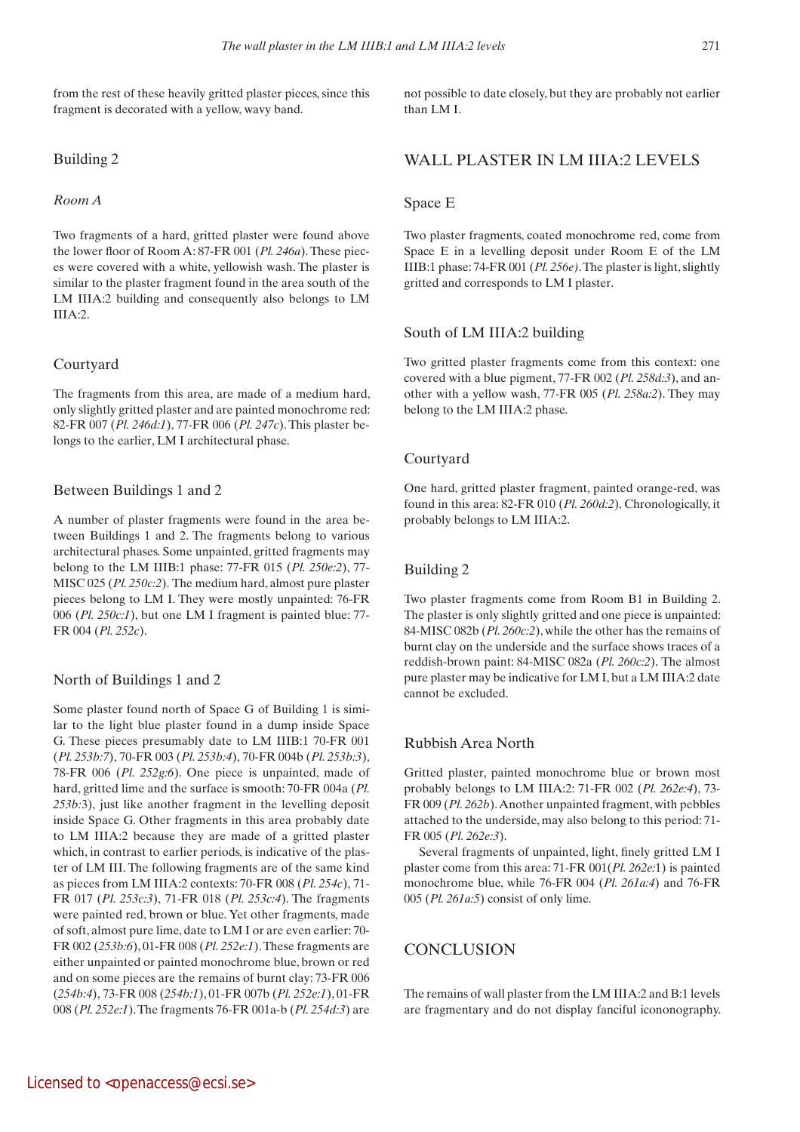from the rest of these heavily gritted plaster pieces, since this fragment is decorated with a yellow, wavy band.

## Building 2

## *Room A*

Two fragments of a hard, gritted plaster were found above the lower floor of Room A: 87-FR 001 (*Pl. 246a*). These pieces were covered with a white, yellowish wash. The plaster is similar to the plaster fragment found in the area south of the LM IIIA:2 building and consequently also belongs to LM III $A \cdot 2$ 

#### Courtyard

The fragments from this area, are made of a medium hard, only slightly gritted plaster and are painted monochrome red: 82-FR 007 (*Pl. 246d:1*), 77-FR 006 (*Pl. 247c*). This plaster belongs to the earlier, LM I architectural phase.

## Between Buildings 1 and 2

A number of plaster fragments were found in the area between Buildings 1 and 2. The fragments belong to various architectural phases. Some unpainted, gritted fragments may belong to the LM IIIB:1 phase: 77-FR 015 (*Pl. 250e:2*), 77- MISC 025 (*Pl. 250c:2*). The medium hard, almost pure plaster pieces belong to LM I. They were mostly unpainted: 76-FR 006 (*Pl. 250c:1*), but one LM I fragment is painted blue: 77- FR 004 (*Pl. 252c*).

## North of Buildings 1 and 2

Some plaster found north of Space G of Building 1 is similar to the light blue plaster found in a dump inside Space G. These pieces presumably date to LM IIIB:1 70-FR 001 (*Pl. 253b:7*), 70-FR 003 (*Pl. 253b:4*), 70-FR 004b (*Pl. 253b:3*), 78-FR 006 (*Pl. 252g:6*). One piece is unpainted, made of hard, gritted lime and the surface is smooth: 70-FR 004a (*Pl. 253b:*3), just like another fragment in the levelling deposit inside Space G. Other fragments in this area probably date to LM IIIA:2 because they are made of a gritted plaster which, in contrast to earlier periods, is indicative of the plaster of LM III. The following fragments are of the same kind as pieces from LM IIIA:2 contexts: 70-FR 008 (*Pl. 254c*), 71- FR 017 (*Pl. 253c:3*), 71-FR 018 (*Pl. 253c:4*). The fragments were painted red, brown or blue. Yet other fragments, made of soft, almost pure lime, date to LM I or are even earlier: 70- FR 002 (*253b:6*), 01-FR 008 (*Pl. 252e:1*). These fragments are either unpainted or painted monochrome blue, brown or red and on some pieces are the remains of burnt clay: 73-FR 006 (*254b:4*), 73-FR 008 (*254b:1*), 01-FR 007b (*Pl. 252e:1*), 01-FR 008 (*Pl. 252e:1*). The fragments 76-FR 001a-b (*Pl. 254d:3*) are not possible to date closely, but they are probably not earlier than LM I.

# Wall plaster in LM IIIA:2 levels

## Space E

Two plaster fragments, coated monochrome red, come from Space E in a levelling deposit under Room E of the LM IIIB:1 phase: 74-FR 001 (*Pl. 256e)*. The plaster is light, slightly gritted and corresponds to LM I plaster.

#### South of LM IIIA:2 building

Two gritted plaster fragments come from this context: one covered with a blue pigment, 77-FR 002 (*Pl. 258d:3*), and another with a yellow wash, 77-FR 005 (*Pl. 258a:2*). They may belong to the LM IIIA:2 phase.

#### Courtyard

One hard, gritted plaster fragment, painted orange-red, was found in this area: 82-FR 010 (*Pl. 260d:2*). Chronologically, it probably belongs to LM IIIA:2.

# Building 2

Two plaster fragments come from Room B1 in Building 2. The plaster is only slightly gritted and one piece is unpainted: 84-MISC 082b (*Pl. 260c:2*), while the other has the remains of burnt clay on the underside and the surface shows traces of a reddish-brown paint: 84-MISC 082a (*Pl. 260c:2*). The almost pure plaster may be indicative for LM I, but a LM IIIA:2 date cannot be excluded.

## Rubbish Area North

Gritted plaster, painted monochrome blue or brown most probably belongs to LM IIIA:2: 71-FR 002 (*Pl. 262e:4*), 73- FR 009 (*Pl. 262b*). Another unpainted fragment, with pebbles attached to the underside, may also belong to this period: 71- FR 005 (*Pl. 262e:3*).

Several fragments of unpainted, light, finely gritted LM I plaster come from this area: 71-FR 001(*Pl. 262e:*1) is painted monochrome blue, while 76-FR 004 (*Pl. 261a:4*) and 76-FR 005 (*Pl. 261a:5*) consist of only lime.

# **CONCLUSION**

The remains of wall plaster from the LM IIIA:2 and B:1 levels are fragmentary and do not display fanciful icononography.